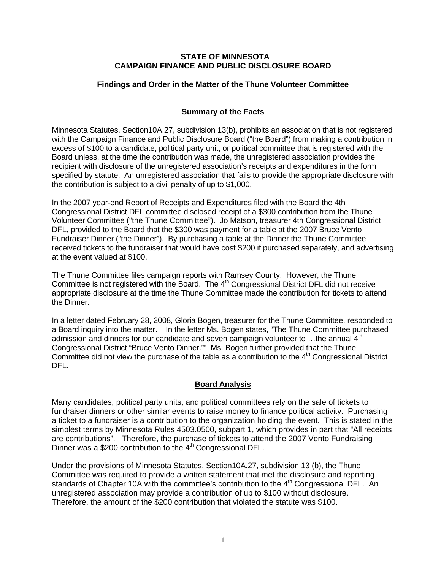#### **STATE OF MINNESOTA CAMPAIGN FINANCE AND PUBLIC DISCLOSURE BOARD**

# **Findings and Order in the Matter of the Thune Volunteer Committee**

#### **Summary of the Facts**

Minnesota Statutes, Section10A.27, subdivision 13(b), prohibits an association that is not registered with the Campaign Finance and Public Disclosure Board ("the Board") from making a contribution in excess of \$100 to a candidate, political party unit, or political committee that is registered with the Board unless, at the time the contribution was made, the unregistered association provides the recipient with disclosure of the unregistered association's receipts and expenditures in the form specified by statute. An unregistered association that fails to provide the appropriate disclosure with the contribution is subject to a civil penalty of up to \$1,000.

In the 2007 year-end Report of Receipts and Expenditures filed with the Board the 4th Congressional District DFL committee disclosed receipt of a \$300 contribution from the Thune Volunteer Committee ("the Thune Committee"). Jo Matson, treasurer 4th Congressional District DFL, provided to the Board that the \$300 was payment for a table at the 2007 Bruce Vento Fundraiser Dinner ("the Dinner"). By purchasing a table at the Dinner the Thune Committee received tickets to the fundraiser that would have cost \$200 if purchased separately, and advertising at the event valued at \$100.

The Thune Committee files campaign reports with Ramsey County. However, the Thune Committee is not registered with the Board. The  $4<sup>th</sup>$  Congressional District DFL did not receive appropriate disclosure at the time the Thune Committee made the contribution for tickets to attend the Dinner.

In a letter dated February 28, 2008, Gloria Bogen, treasurer for the Thune Committee, responded to a Board inquiry into the matter. In the letter Ms. Bogen states, "The Thune Committee purchased admission and dinners for our candidate and seven campaign volunteer to  $\dots$ the annual  $4<sup>th</sup>$ Congressional District "Bruce Vento Dinner."" Ms. Bogen further provided that the Thune Committee did not view the purchase of the table as a contribution to the  $4<sup>th</sup>$  Congressional District DFL.

# **Board Analysis**

Many candidates, political party units, and political committees rely on the sale of tickets to fundraiser dinners or other similar events to raise money to finance political activity. Purchasing a ticket to a fundraiser is a contribution to the organization holding the event. This is stated in the simplest terms by Minnesota Rules 4503.0500, subpart 1, which provides in part that "All receipts are contributions". Therefore, the purchase of tickets to attend the 2007 Vento Fundraising Dinner was a \$200 contribution to the  $4<sup>th</sup>$  Congressional DFL.

Under the provisions of Minnesota Statutes, Section10A.27, subdivision 13 (b), the Thune Committee was required to provide a written statement that met the disclosure and reporting standards of Chapter 10A with the committee's contribution to the  $4<sup>th</sup>$  Congressional DFL. An unregistered association may provide a contribution of up to \$100 without disclosure. Therefore, the amount of the \$200 contribution that violated the statute was \$100.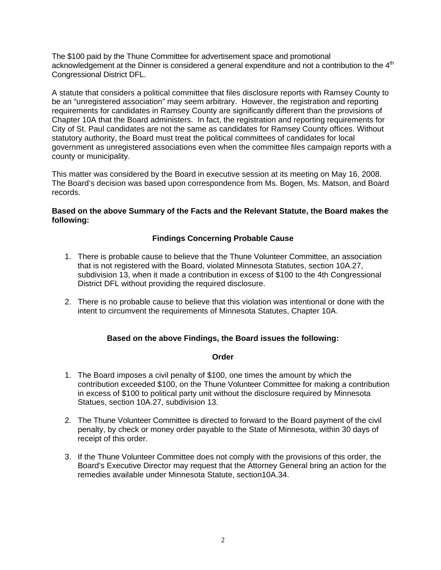The \$100 paid by the Thune Committee for advertisement space and promotional acknowledgement at the Dinner is considered a general expenditure and not a contribution to the 4<sup>th</sup> Congressional District DFL.

A statute that considers a political committee that files disclosure reports with Ramsey County to be an "unregistered association" may seem arbitrary. However, the registration and reporting requirements for candidates in Ramsey County are significantly different than the provisions of Chapter 10A that the Board administers. In fact, the registration and reporting requirements for City of St. Paul candidates are not the same as candidates for Ramsey County offices. Without statutory authority, the Board must treat the political committees of candidates for local government as unregistered associations even when the committee files campaign reports with a county or municipality.

This matter was considered by the Board in executive session at its meeting on May 16, 2008. The Board's decision was based upon correspondence from Ms. Bogen, Ms. Matson, and Board records.

#### **Based on the above Summary of the Facts and the Relevant Statute, the Board makes the following:**

# **Findings Concerning Probable Cause**

- 1. There is probable cause to believe that the Thune Volunteer Committee, an association that is not registered with the Board, violated Minnesota Statutes, section 10A.27, subdivision 13, when it made a contribution in excess of \$100 to the 4th Congressional District DFL without providing the required disclosure.
- 2. There is no probable cause to believe that this violation was intentional or done with the intent to circumvent the requirements of Minnesota Statutes, Chapter 10A.

# **Based on the above Findings, the Board issues the following:**

#### **Order**

- 1. The Board imposes a civil penalty of \$100, one times the amount by which the contribution exceeded \$100, on the Thune Volunteer Committee for making a contribution in excess of \$100 to political party unit without the disclosure required by Minnesota Statues, section 10A.27, subdivision 13.
- 2. The Thune Volunteer Committee is directed to forward to the Board payment of the civil penalty, by check or money order payable to the State of Minnesota, within 30 days of receipt of this order.
- 3. If the Thune Volunteer Committee does not comply with the provisions of this order, the Board's Executive Director may request that the Attorney General bring an action for the remedies available under Minnesota Statute, section10A.34.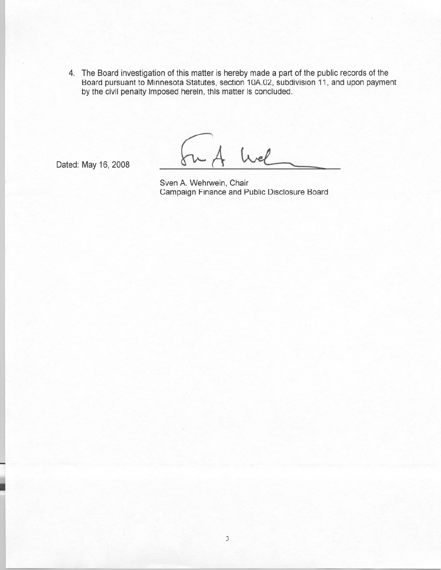4. The Board investigation of this matter is hereby made a part of the public records of the Board pursuant to Minnesota Statutes, section 10A.02, subdivision 11, and upon payment by the civil penalty imposed herein, this matter is concluded.

Wel

Dated: May 16, 2008

Sven A. Wehrwein, Chair Campaign Finance and Public Disclosure Board